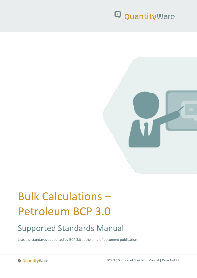

# Bulk Calculations – Petroleum BCP 3.0

## Supported Standards Manual

Lists the standards supported by BCP 3.0 at the time of document publication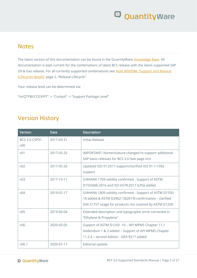### **Notes**

The latest version of this documentation can be found in the QuantityWare [Knowledge Base.](https://www.quantityware.com/support/knowledge-base/) All documentation is kept current for the combinations of latest BCS release with the latest supported SAP Oil & Gas release. For all currently supported combinations see Note #000086 "Support and Release [\(Lifecycle\) details"](https://www.quantityware.com/support/knowledge-base/?sortOrder=desc&sortBy=date&title=000086) page 2, "Release Lifecycle".

Your release level can be determined via:

"/o/QTYW/COCKPIT" -> "Cockpit" -> "Support Package Level"

### Version History

| Version                                 | Date       | <b>Description</b>                                                                                                                                                            |
|-----------------------------------------|------------|-------------------------------------------------------------------------------------------------------------------------------------------------------------------------------|
| <b>BCS 3.0 CSP01</b><br>V <sub>00</sub> | 2017-03-31 | Initial Release                                                                                                                                                               |
| V <sup>01</sup>                         | 2017-05-25 | IMPORTANT: Nomenclature changed to support additional<br>SAP basis releases for BCS 3.0 (see page ii/v)                                                                       |
| V <sub>02</sub>                         | 2017-05-26 | Updated ISO 91:2017 support/clarified ISO 91-1:1992<br>support                                                                                                                |
| v03                                     | 2017-10-11 | S/4HANA 1709 validity confirmed - Support of ASTM<br>D1555(M)-2016 and ISO 6578:2017 (LPG) added                                                                              |
| v <sub>04</sub>                         | 2019-02-17 | S/4HANA 1809 validity confirmed - Support of ASTM D1550-<br>18 added & ASTM D2962-10(2019) confirmation - clarified<br>DIN 51757 usage for products not covered by ASTM D1250 |
| V <sub>05</sub>                         | 2019-06-04 | Extended description and typographic error corrected in<br>"Ethylene & Propylene"                                                                                             |
| V <sub>06</sub>                         | 2020-05-05 | Support of ASTM D1250 -19 - API MPMS Chapter 11.1<br>Addendum 1 & 2 added - Support of API MPMS Chapter<br>11.2.4 - second edition - GPA 8217 added                           |
| V06.1                                   | 2020-07-17 | Editorial update                                                                                                                                                              |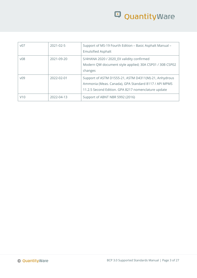| V <sub>07</sub> | 2021-02-5  | Support of MS-19 Fourth Edition - Basic Asphalt Manual -<br><b>Emulsified Asphalt</b>                                                                                |
|-----------------|------------|----------------------------------------------------------------------------------------------------------------------------------------------------------------------|
| V <sub>08</sub> | 2021-09-20 | S/4HANA 2020 / 2020_EX validity confirmed<br>Modern QW document style applied; 30A CSP01 / 30B CSP02<br>changes                                                      |
| V <sub>09</sub> | 2022-02-01 | Support of ASTM D1555-21, ASTM D4311(M)-21, Anhydrous<br>Ammonia (Meas. Canada), GPA Standard 8117 / API MPMS<br>11.2.5 Second Edition. GPA 8217 nomenclature update |
| V10             | 2022-04-13 | Support of ABNT NBR 5992 (2016)                                                                                                                                      |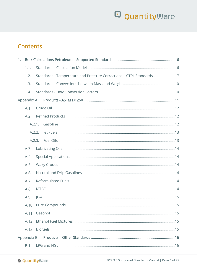### **Contents**

| 1. |      |        |  |
|----|------|--------|--|
|    | 1.1. |        |  |
|    | 1.2. |        |  |
|    | 1.3. |        |  |
|    | 1.4. |        |  |
|    |      |        |  |
|    | A.1. |        |  |
|    | A.2. |        |  |
|    |      | A.2.1. |  |
|    |      | A.2.2. |  |
|    |      | A.2.3. |  |
|    | A.3. |        |  |
|    | A.4. |        |  |
|    | A.5. |        |  |
|    | A.6. |        |  |
|    | A.7. |        |  |
|    | A.8. |        |  |
|    | A.9. |        |  |
|    |      |        |  |
|    |      |        |  |
|    |      |        |  |
|    |      |        |  |
|    |      |        |  |
|    | B.1. |        |  |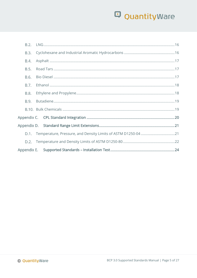| B.2. |  |  |
|------|--|--|
| B.3. |  |  |
| B.4. |  |  |
| B.5. |  |  |
| B.6. |  |  |
| B.7. |  |  |
| B.8. |  |  |
| B.9. |  |  |
|      |  |  |
|      |  |  |
|      |  |  |
| D.1. |  |  |
| D.2. |  |  |
|      |  |  |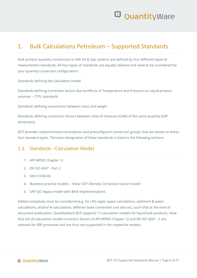

### <span id="page-5-0"></span>1. Bulk Calculations Petroleum – Supported Standards

Bulk product quantity conversions in SAP Oil & Gas systems are defined by four different types of measurement standards. All four types of standards are equally relevant and need to be considered for your quantity conversion configuration:

Standards defining the calculation model

Standards defining Correction factors due to effects of Temperature and Pressure on Liquid product volumes – CTPL standards

Standards defining conversions between mass and weight

Standards defining conversion factors between units of measure (UoM) of the same quantity (SAP dimension)

BCP provides implementation procedures and preconfigured conversion groups that are based on these four standard types. The exact designation of these standards is listed in the following sections.

#### <span id="page-5-1"></span>1.1. Standards - Calculation Model

- 1. API MPMS Chapter 12
- 2. EN ISO 4267 Part 2
- 3. DIN 51650-06
- 4. Business practice models linear DCF (Density Correction Factor) model
- 5. SAP QCI legacy model with BAdI implementations

Added complexity must be considered (e.g. for LPG vapor space calculations, sediment & water calculations, alcohol % calculations, different base conversion unit sets etc.) such that at the time of document publication, QuantityWare BCP supports 17 calculation models for liquid bulk products. Note that not all calculation model correction factors of API MPMS Chapter 12 and EN ISO 4267 - 2 are relevant for ERP processes and are thus not supported in the respective models.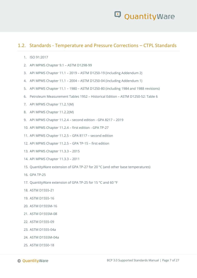#### <span id="page-6-0"></span>1.2. Standards - Temperature and Pressure Corrections – CTPL Standards

- 1. ISO 91:2017
- 2. API MPMS Chapter 9.1 ASTM D1298-99
- 3. API MPMS Chapter 11.1 2019 ASTM D1250-19 (including Addendum 2)
- 4. API MPMS Chapter 11.1 2004 ASTM D1250-04 (including Addendum 1)
- 5. API MPMS Chapter 11.1 1980 ASTM D1250-80 (including 1984 and 1988 revisions)
- 6. Petroleum Measurement Tables 1952 Historical Edition ASTM D1250-52: Table 6
- 7. API MPMS Chapter 11.2.1(M)
- 8. API MPMS Chapter 11.2.2(M)
- 9. API MPMS Chapter 11.2.4 second edition GPA 8217 2019
- 10. API MPMS Chapter 11.2.4 first edition GPA TP-27
- 11. API MPMS Chapter 11.2.5 GPA 8117 second edition
- 12. API MPMS Chapter 11.2.5 GPA TP-15 first edition
- 13. API MPMS Chapter 11.3.3 2015
- 14. API MPMS Chapter 11.3.3 2011
- 15. QuantityWare extension of GPA TP-27 for 20 °C (and other base temperatures)
- 16. GPA TP-25
- 17. QuantityWare extension of GPA TP-25 for 15 °C and 60 °F
- 18. ASTM D1555-21
- 19. ASTM D1555-16
- 20. ASTM D1555M-16
- 21. ASTM D1555M-08
- 22. ASTM D1555-09
- 23. ASTM D1555-04a
- 24. ASTM D1555M-04a
- 25. ASTM D1550-18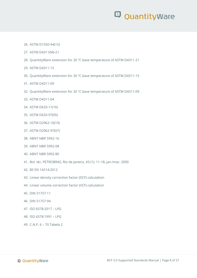- 26. ASTM D1550-94(15)
- 27. ASTM D4311(M)-21
- 28. QuantityWare extension for 20 °C base temperature of ASTM D4311-21
- 29. ASTM D4311-15
- 30. QuantityWare extension for 20 °C base temperature of ASTM D4311-15
- 31. ASTM D4311-09
- 32. QuantityWare extension for 20 °C base temperature of ASTM D4311-09
- 33. ASTM D4311-04
- 34. ASTM D633-11(16)
- 35. ASTM D633-97(05)
- 36. ASTM D2962-10(19)
- 37. ASTM D2962-97(07)
- 38. ABNT NBR 5992-16
- 39. ABNT NBR 5992-08
- 40. ABNT NBR 5992-80
- 41. Bol. téc. PETROBRAS, Rio de Janeiro, 43 (1): 11-18, jan./mar. 2000
- 42. BS EN 14214:2012
- 43. Linear density correction factor (DCF) calculation
- 44. Linear volume correction factor (VCF) calculation
- 45. DIN 51757-11
- 46. DIN 51757-94
- 47. ISO 6578:2017 LPG
- 48. ISO 6578:1991 LPG
- 49. C.N.P. 6 70 Tabela 2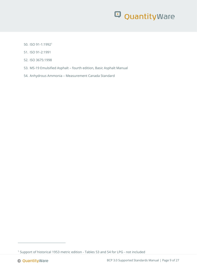- 50. ISO 91-1:1992<sup>1</sup>
- 51. ISO 91-2:1991
- 52. ISO 3675:1998
- 53. MS-19 Emulsified Asphalt fourth edition, Basic Asphalt Manual
- 54. Anhydrous Ammonia Measurement Canada Standard

<sup>1</sup> Support of historical 1953 metric edition - Tables 53 and 54 for LPG - not included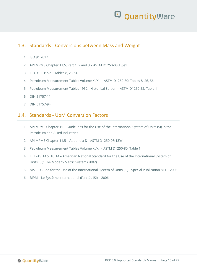

#### <span id="page-9-0"></span>1.3. Standards - Conversions between Mass and Weight

- 1. ISO 91:2017
- 2. API MPMS Chapter 11.5, Part 1, 2 and 3 ASTM D1250-08(13)e1
- 3. ISO 91-1:1992 Tables 8, 26, 56
- 4. Petroleum Measurement Tables Volume XI/XII ASTM D1250-80: Tables 8, 26, 56
- 5. Petroleum Measurement Tables 1952 Historical Edition ASTM D1250-52: Table 11
- 6. DIN 51757-11
- 7. DIN 51757-94

#### <span id="page-9-1"></span>1.4. Standards - UoM Conversion Factors

- 1. API MPMS Chapter 15 Guidelines for the Use of the International System of Units (SI) in the Petroleum and Allied Industries
- 2. API MPMS Chapter 11.5 Appendix D ASTM D1250-08(13)e1
- 3. Petroleum Measurement Tables Volume XI/XII ASTM D1250-80: Table 1
- 4. IEEE/ASTM SI 10TM American National Standard for the Use of the International System of Units (SI): The Modern Metric System (2002)
- 5. NIST Guide for the Use of the International System of Units (SI) Special Publication 811 2008
- 6. BIPM Le Système international d'unités (SI) 2006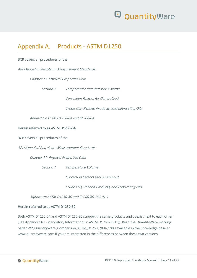

### <span id="page-10-0"></span>Appendix A. Products - ASTM D1250

BCP covers all procedures of the:

API Manual of Petroleum Measurement Standards

Chapter 11- Physical Properties Data

Section 1 Temperature and Pressure Volume

Correction Factors for Generalized

Crude Oils, Refined Products, and Lubricating Oils

Adjunct to: ASTM D1250-04 and IP 200/04

#### Herein referred to as ASTM D1250-04

BCP covers all procedures of the:

API Manual of Petroleum Measurement Standards

Chapter 11- Physical Properties Data

Section 1 Temperature Volume

Correction Factors for Generalized

Crude Oils, Refined Products, and Lubricating Oils

Adjunct to: ASTM D1250-80 and IP 200/80, ISO 91-1

#### Herein referred to as ASTM D1250-80

Both ASTM D1250-04 and ASTM D1250-80 support the same products and coexist next to each other (See Appendix A.1 (Mandatory Information) in ASTM D1250-08(13)). Read the QuantityWare working paper WP\_QuantityWare\_Comparison\_ASTM\_D1250\_2004\_1980 available in the Knowledge base at www.quantityware.com if you are interested in the differences between these two versions.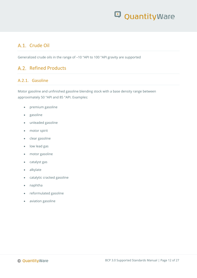### <span id="page-11-0"></span>A.1. Crude Oil

Generalized crude oils in the range of –10 °API to 100 °API gravity are supported

#### <span id="page-11-1"></span>A.2. Refined Products

#### <span id="page-11-2"></span>A.2.1. Gasoline

Motor gasoline and unfinished gasoline blending stock with a base density range between approximately 50 °API and 85 °API. Examples:

- premium gasoline
- gasoline
- unleaded gasoline
- motor spirit
- clear gasoline
- low lead gas
- motor gasoline
- catalyst gas
- alkylate
- catalytic cracked gasoline
- naphtha
- reformulated gasoline
- aviation gasoline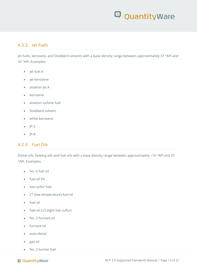#### <span id="page-12-0"></span>A.2.2. Jet Fuels

Jet fuels, kerosene, and Stoddard solvents with a base density range between approximately 37 °API and 50 °API. Examples:

- jet fuel A
- jet kerosene
- aviation jet A
- kerosene
- aviation turbine fuel
- Stoddard solvent
- white kerosene
- $\bullet$  IP-2
- $\bullet$  IP-8

#### <span id="page-12-1"></span>A.2.3. Fuel Oils

Diesel oils, heating oils and fuel oils with a base density range between approximately –10 °API and 37 °API. Examples:

- No. 6 fuel oil
- fuel oil PA
- low sulfur fuel
- LT (low temperature) fuel oil
- fuel oil
- fuel oil LLS (light low sulfur)
- No. 2 furnace oil
- furnace oil
- auto diesel
- gas oil
- No. 2 burner fuel

© QuantityWare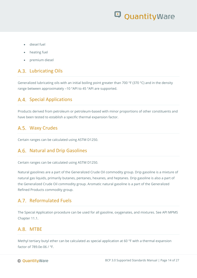- diesel fuel
- heating fuel
- premium diesel

### <span id="page-13-0"></span>A.3. Lubricating Oils

Generalized lubricating oils with an initial boiling point greater than 700 °F (370 °C) and in the density range between approximately –10 °API to 45 °API are supported.

#### <span id="page-13-1"></span>A.4. Special Applications

Products derived from petroleum or petroleum-based with minor proportions of other constituents and have been tested to establish a specific thermal expansion factor.

#### <span id="page-13-2"></span>A.5. Waxy Crudes

Certain ranges can be calculated using ASTM D1250.

#### <span id="page-13-3"></span>A.6. Natural and Drip Gasolines

Certain ranges can be calculated using ASTM D1250.

Natural gasolines are a part of the Generalized Crude Oil commodity group. Drip gasoline is a mixture of natural gas liquids, primarily butanes, pentanes, hexanes, and heptanes. Drip gasoline is also a part of the Generalized Crude Oil commodity group. Aromatic natural gasoline is a part of the Generalized Refined Products commodity group.

#### <span id="page-13-4"></span>A.7 Reformulated Fuels

The Special Application procedure can be used for all gasoline, oxygenates, and mixtures. See API MPMS Chapter 11.1.

#### <span id="page-13-5"></span>A.8. MTRF

Methyl tertiary butyl ether can be calculated as special application at 60 °F with a thermal expansion factor of 789.0e-06 / °F.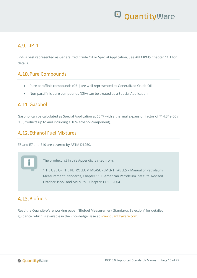### <span id="page-14-0"></span> $A.9.$  JP-4

JP-4 is best represented as Generalized Crude Oil or Special Application. See API MPMS Chapter 11.1 for details.

### <span id="page-14-1"></span>A.10. Pure Compounds

- Pure paraffinic compounds (C5+) are well represented as Generalized Crude Oil.
- Non-paraffinic pure compounds (C5+) can be treated as a Special Application.

### <span id="page-14-2"></span>A.11. Gasohol

Gasohol can be calculated as Special Application at 60 °F with a thermal expansion factor of 714.34e-06 / °F. (Products up to and including a 10% ethanol component).

### <span id="page-14-3"></span>A.12. Ethanol Fuel Mixtures

E5 and E7 and E10 are covered by ASTM D1250.

The product list in this Appendix is cited from:

"THE USE OF THE PETROLEUM MEASUREMENT TABLES – Manual of Petroleum Measurement Standards, Chapter 11.1, American Petroleum Institute, Revised October 1995" and API MPMS Chapter 11.1 – 2004

### <span id="page-14-4"></span>A.13. Biofuels

Read the QuantityWare working paper "Biofuel Measurement Standards Selection" for detailed guidance, which is available in the Knowledge Base at [www.quantityware.com.](http://www.quantityware.com/)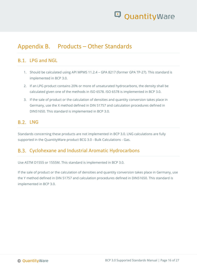

### <span id="page-15-0"></span>Appendix B. Products – Other Standards

#### <span id="page-15-1"></span>R<sub>1</sub> IPG and NGL

- 1. Should be calculated using API MPMS 11.2.4 GPA 8217 (former GPA TP-27). This standard is implemented in BCP 3.0.
- 2. If an LPG product contains 20% or more of unsaturated hydrocarbons, the density shall be calculated given one of the methods in ISO 6578. ISO 6578 is implemented in BCP 3.0.
- 3. If the sale of product or the calculation of densities and quantity conversion takes place in Germany, use the X method defined in DIN 51757 and calculation procedures defined in DIN51650. This standard is implemented in BCP 3.0.

### <span id="page-15-2"></span> $B.2.$  ING

Standards concerning these products are not implemented in BCP 3.0. LNG calculations are fully supported in the QuantityWare product BCG 3.0 - Bulk Calculations - Gas.

#### <span id="page-15-3"></span>B.3. Cyclohexane and Industrial Aromatic Hydrocarbons

Use ASTM D1555 or 1555M. This standard is implemented in BCP 3.0.

If the sale of product or the calculation of densities and quantity conversion takes place in Germany, use the Y method defined in DIN 51757 and calculation procedures defined in DIN51650. This standard is implemented in BCP 3.0.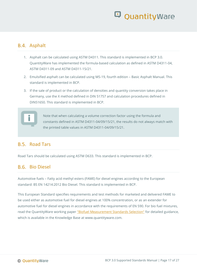### <span id="page-16-0"></span>B.4. Asphalt

- 1. Asphalt can be calculated using ASTM D4311. This standard is implemented in BCP 3.0. QuantityWare has implemented the formula-based calculation as defined in ASTM D4311-04, ASTM D4311-09 and ASTM D4311-15/21.
- 2. Emulsified asphalt can be calculated using MS-19, fourth edition Basic Asphalt Manual. This standard is implemented in BCP.
- 3. If the sale of product or the calculation of densities and quantity conversion takes place in Germany, use the X method defined in DIN 51757 and calculation procedures defined in DIN51650. This standard is implemented in BCP.



Note that when calculating a volume correction factor using the formula and constants defined in ASTM D4311-04/09/15/21, the results do not always match with the printed table values in ASTM D4311-04/09/15/21.

#### <span id="page-16-1"></span>Road Tars

Road Tars should be calculated using ASTM D633. This standard is implemented in BCP.

### <span id="page-16-2"></span>Bio Diesel

Automotive fuels – Fatty acid methyl esters (FAME) for diesel engines according to the European standard: BS EN 14214:2012 Bio Diesel. This standard is implemented in BCP.

This European Standard specifies requirements and test methods for marketed and delivered FAME to be used either as automotive fuel for diesel engines at 100% concentration, or as an extender for automotive fuel for diesel engines in accordance with the requirements of EN 590. For bio fuel mixtures, read the QuantityWare working paper ["Biofuel Measurement Standards Selection"](https://www.quantityware.com/support/knowledge-base/?kbpage=1&sortOrder=desc&sortBy=date&title=Biofuel%20Measurement%20Standards%20Selection&type=Consulting%20%26%20Working%20Papers&product=BCP&category=Consulting%20%26%20Configuration&searchContent=yes) for detailed guidance, which is available in the Knowledge Base at www.quantityware.com.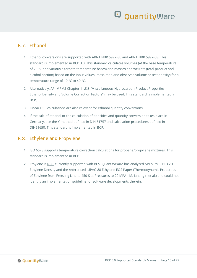#### <span id="page-17-0"></span>**B.7** Fthanol

- 1. Ethanol conversions are supported with ABNT NBR 5992-80 and ABNT NBR 5992-08. This standard is implemented in BCP 3.0. This standard calculates volumes (at the base temperature of 20 °C and various alternate temperature bases) and masses and weights (total product and alcohol portion) based on the input values (mass ratio and observed volume or test density) for a temperature range of 10 °C to 40 °C.
- 2. Alternatively, API MPMS Chapter 11.3.3 "Miscellaneous Hydrocarbon Product Properties Ethanol Density and Volume Correction Factors" may be used. This standard is implemented in BCP.
- 3. Linear DCF calculations are also relevant for ethanol quantity conversions.
- 4. If the sale of ethanol or the calculation of densities and quantity conversion takes place in Germany, use the Y method defined in DIN 51757 and calculation procedures defined in DIN51650. This standard is implemented in BCP.

#### <span id="page-17-1"></span>B.8. Ethylene and Propylene

- 1. ISO 6578 supports temperature correction calculations for propane/propylene mixtures. This standard is implemented in BCP.
- 2. Ethylene is NOT currently supported with BCS. QuantityWare has analyzed API MPMS 11.3.2.1 -Ethylene Density and the referenced IUPAC-88 Ethylene EOS Paper (Thermodynamic Properties of Ethylene from Freezing Line to 450 K at Pressures to 20 MPA - M. Jahangiri et al.) and could not identify an implementation guideline for software developments therein.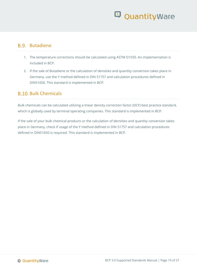#### <span id="page-18-0"></span>Butadiene

- 1. The temperature corrections should be calculated using ASTM D1550. An implementation is included in BCP.
- 2. If the sale of Butadiene or the calculation of densities and quantity conversion takes place in Germany, use the Y method defined in DIN 51757 and calculation procedures defined in DIN51650. This standard is implemented in BCP.

#### <span id="page-18-1"></span>**B.10. Bulk Chemicals**

Bulk chemicals can be calculated utilizing a linear density correction factor (DCF) best practice standard, which is globally used by terminal operating companies. This standard is implemented in BCP.

If the sale of your bulk chemical products or the calculation of densities and quantity conversion takes place in Germany, check if usage of the Y method defined in DIN 51757 and calculation procedures defined in DIN51650 is required. This standard is implemented in BCP.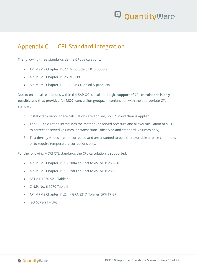

### <span id="page-19-0"></span>Appendix C. CPL Standard Integration

The following three standards define CPL calculations:

- API MPMS Chapter 11.2.1(M): Crude oil & products
- API MPMS Chapter 11.2.2(M): LPG
- API MPMS Chapter 11.1 2004: Crude oil & products

Due to technical restrictions within the SAP QCI calculation logic, support of CPL calculations is only possible and thus provided for MQCI conversion groups, in conjunction with the appropriate CTL standard.

- 1. If static tank vapor space calculations are applied, no CPL correction is applied.
- 2. The CPL calculation introduces the material/observed pressure and allows calculation of a CTPL to correct observed volumes (or transaction - observed and standard -volumes only).
- 3. Test density values are not corrected and are assumed to be either available at base conditions or to require temperature corrections only.

For the following MQCI CTL standards the CPL calculation is supported:

- API MPMS Chapter 11.1 2004 adjunct to ASTM D1250-04
- API MPMS Chapter 11.1 1980 adjunct to ASTM D1250-80
- ASTM D1250-52 Table 6
- $\bullet$  CNP No. 6 1970 Table II
- API MPMS Chapter 11.2.4 GPA 8217 (former GPA TP-27)
- ISO 6578-91 LPG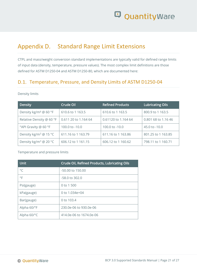### <span id="page-20-0"></span>Appendix D. Standard Range Limit Extensions

CTPL and mass/weight conversion standard implementations are typically valid for defined range limits of input data (density, temperature, pressure values). The most complex limit definitions are those defined for ASTM D1250-04 and ASTM D1250-80, which are documented here:

### <span id="page-20-1"></span>D.1. Temperature, Pressure, and Density Limits of ASTM D1250-04

#### Density limits

| Density                           | Crude Oil            | <b>Refined Products</b> | <b>Lubricating Oils</b>  |
|-----------------------------------|----------------------|-------------------------|--------------------------|
| Density kg/m <sup>3</sup> @ 60 °F | 610.6 to 1 163.5     | 610.6 to 1 163.5        | 800.9 to 1 163.5         |
| Relative Density @ 60 °F          | 0.611 20 to 1.164 64 | 0.61120 to 1.164 64     | 0.801 68 to 1.16 46      |
| °API Gravity @ 60 °F              | 100.0 to $-10.0$     | 100.0 to -10.0          | $45.0 \text{ to } -10.0$ |
| Density kg/m <sup>3</sup> @ 15 °C | 611.16 to 1 163.79   | 611.16 to 1 163.86      | 801.25 to 1 163.85       |
| Density kg/m <sup>3</sup> @ 20 °C | 606.12 to 1 161.15   | 606.12 to 1 160.62      | 798.11 to 1 160.71       |

#### Temperature and pressure limits

| <b>Unit</b>  | Crude Oil, Refined Products, Lubricating Oils |
|--------------|-----------------------------------------------|
| $^{\circ}$ C | $-50.00$ to 150.00                            |
| $\circ$ F    | -58.0 to 302.0                                |
| Psi(gauge)   | 0 to 1 500                                    |
| kPa(gauge)   | 0 to $1.034e+04$                              |
| Bar(gauge)   | 0 to 103.4                                    |
| Alpha 60/°F  | 230.0e-06 to 930.0e-06                        |
| Alpha 60/°C  | 414.0e-06 to 1674.0e-06                       |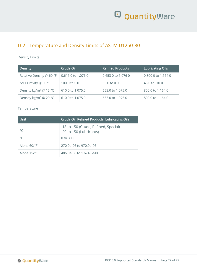

### <span id="page-21-0"></span>D.2. Temperature and Density Limits of ASTM D1250-80

#### Density Limits

| Density                           | Crude Oil          | <b>Refined Products</b> | Lubricating Oils   |
|-----------------------------------|--------------------|-------------------------|--------------------|
| Relative Density @ 60 °F          | 0.611 0 to 1.076 0 | 0.653 0 to 1.076 0      | 0.800 0 to 1.164 0 |
| °API Gravity @ 60 °F              | 100.0 to 0.0       | 85.0 to 0.0             | 45.0 to -10.0      |
| Density kg/m <sup>3</sup> @ 15 °C | 610.0 to 1 075.0   | 653.0 to 1 075.0        | 800.0 to 1 164.0   |
| Density kg/m <sup>3</sup> @ 20 °C | 610.0 to 1 075.0   | 653.0 to 1 075.0        | 800.0 to 1 164.0   |

#### Temperature

| <b>Unit</b>              | Crude Oil, Refined Products, Lubricating Oils                   |
|--------------------------|-----------------------------------------------------------------|
| $^{\circ}$ C             | -18 to 150 (Crude, Refined, Special)<br>-20 to 150 (Lubricants) |
| °F                       | 0 to 300                                                        |
| Alpha 60/°F              | 270.0e-06 to 970.0e-06                                          |
| Alpha $15$ / $\degree$ C | 486.0e-06 to 1 674.0e-06                                        |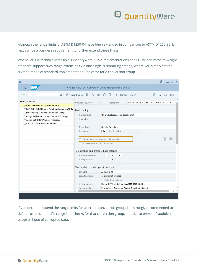Although the range limits of ASTM D1250-04 have been extended in comparison to ASTM D1250-80, it may still be a business requirement to further extend these limits.

Whenever it is technically feasible, QuantityWare ABAP implementations of all CTPL and mass-to-weight standard support such range extensions via one single customizing setting, where you simply set the "Extend range of standard implementation" indicator for a conversion group.

| Change View "QCI Conversion Group Maintenance": Details<br>日 $~6$<br>$\Theta$<br>€<br>$\checkmark$<br>曲<br>$\leftrightarrow$<br>ß<br>帚<br><b>New Entries</b><br>$\rightarrow \equiv$<br>Cancel More $\vee$<br>$\overline{\mathbf{r}}$<br>Exit<br><b>Dialog Structure</b><br>PRODUCTS 2004 WEIGHT DENSITY 15 °C<br>Conversion group<br>Q210<br>Description<br>▽<br>QCI Conversion Group Maintenance<br>SAP QCI - MQCI Model Function Sequence (FSQ)<br><b>Basic settings</b><br> | ≡ |  | $\mathbb{F}$<br>$\overline{\left( \right. }%$<br>× |  |  |  |  |
|---------------------------------------------------------------------------------------------------------------------------------------------------------------------------------------------------------------------------------------------------------------------------------------------------------------------------------------------------------------------------------------------------------------------------------------------------------------------------------|---|--|----------------------------------------------------|--|--|--|--|
|                                                                                                                                                                                                                                                                                                                                                                                                                                                                                 |   |  |                                                    |  |  |  |  |
|                                                                                                                                                                                                                                                                                                                                                                                                                                                                                 |   |  |                                                    |  |  |  |  |
|                                                                                                                                                                                                                                                                                                                                                                                                                                                                                 |   |  |                                                    |  |  |  |  |
|                                                                                                                                                                                                                                                                                                                                                                                                                                                                                 |   |  |                                                    |  |  |  |  |
|                                                                                                                                                                                                                                                                                                                                                                                                                                                                                 |   |  |                                                    |  |  |  |  |
|                                                                                                                                                                                                                                                                                                                                                                                                                                                                                 |   |  |                                                    |  |  |  |  |
|                                                                                                                                                                                                                                                                                                                                                                                                                                                                                 |   |  |                                                    |  |  |  |  |
|                                                                                                                                                                                                                                                                                                                                                                                                                                                                                 |   |  |                                                    |  |  |  |  |
|                                                                                                                                                                                                                                                                                                                                                                                                                                                                                 |   |  |                                                    |  |  |  |  |
|                                                                                                                                                                                                                                                                                                                                                                                                                                                                                 |   |  |                                                    |  |  |  |  |
|                                                                                                                                                                                                                                                                                                                                                                                                                                                                                 |   |  |                                                    |  |  |  |  |
|                                                                                                                                                                                                                                                                                                                                                                                                                                                                                 |   |  |                                                    |  |  |  |  |
|                                                                                                                                                                                                                                                                                                                                                                                                                                                                                 |   |  |                                                    |  |  |  |  |
|                                                                                                                                                                                                                                                                                                                                                                                                                                                                                 |   |  |                                                    |  |  |  |  |
|                                                                                                                                                                                                                                                                                                                                                                                                                                                                                 |   |  |                                                    |  |  |  |  |
|                                                                                                                                                                                                                                                                                                                                                                                                                                                                                 |   |  |                                                    |  |  |  |  |
|                                                                                                                                                                                                                                                                                                                                                                                                                                                                                 |   |  |                                                    |  |  |  |  |
|                                                                                                                                                                                                                                                                                                                                                                                                                                                                                 |   |  |                                                    |  |  |  |  |
|                                                                                                                                                                                                                                                                                                                                                                                                                                                                                 |   |  |                                                    |  |  |  |  |
|                                                                                                                                                                                                                                                                                                                                                                                                                                                                                 |   |  |                                                    |  |  |  |  |
|                                                                                                                                                                                                                                                                                                                                                                                                                                                                                 |   |  |                                                    |  |  |  |  |
|                                                                                                                                                                                                                                                                                                                                                                                                                                                                                 |   |  |                                                    |  |  |  |  |
|                                                                                                                                                                                                                                                                                                                                                                                                                                                                                 |   |  |                                                    |  |  |  |  |
|                                                                                                                                                                                                                                                                                                                                                                                                                                                                                 |   |  |                                                    |  |  |  |  |
|                                                                                                                                                                                                                                                                                                                                                                                                                                                                                 |   |  |                                                    |  |  |  |  |
|                                                                                                                                                                                                                                                                                                                                                                                                                                                                                 |   |  |                                                    |  |  |  |  |
|                                                                                                                                                                                                                                                                                                                                                                                                                                                                                 |   |  |                                                    |  |  |  |  |

If you decide to extend the range limits for a certain conversion group, it is strongly recommended to define customer specific range limit checks for that conversion group, in order to prevent fraudulent usage or input of corrupted data.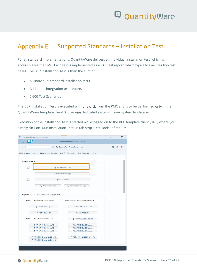

### <span id="page-23-0"></span>Appendix E. Supported Standards – Installation Test

For all standard implementations, QuantityWare delivers an individual installation test, which is accessible via the PMC. Each test is implemented as a SAP test report, which typically executes two test cases. The BCP Installation Test is then the sum of:

- All individual standard installation tests
- Additional integration test reports
- 2 600 Test Scenarios

The BCP Installation Test is executed with one click from the PMC and is to be performed only in the QuantityWare template client 045, in one dedicated system in your system landscape:

Execution of the Installation Test is started while logged on to the BCP template client (045), where you simply click on "Run Installation Test" in tab strip "Test Tools" of the PMC:

| E Petroleum Measurement Cockpit |                                                   |                                                                      | $\left\langle \begin{array}{c} \circ \\ \circ \\ \circ \end{array} \right  = \square \times$ |
|---------------------------------|---------------------------------------------------|----------------------------------------------------------------------|----------------------------------------------------------------------------------------------|
|                                 |                                                   | Petroleum Measurement Cockpit                                        |                                                                                              |
| ✓                               | $\Box$<br>$\checkmark$                            | <b>@</b> QuantityWare Service Portal<br>More $\vee$                  | п<br>₹<br>Exit                                                                               |
| <b>Units of Measurement</b>     | <b>Print Standards Lists</b>                      | <b>QCI Configuration</b><br><b>QCI Products</b><br><b>Test Tools</b> |                                                                                              |
|                                 |                                                   |                                                                      |                                                                                              |
| <b>Installation Tests</b>       |                                                   |                                                                      |                                                                                              |
| 団                               |                                                   | 국 Run Installation Test                                              |                                                                                              |
|                                 | 63 Installation Test Logs                         |                                                                      |                                                                                              |
| $\hfill \square$                |                                                   | 국 Run Scenarios                                                      |                                                                                              |
|                                 |                                                   | ९ Maintain Scenario Logs                                             |                                                                                              |
|                                 | ९ Maintain Scenarios                              |                                                                      |                                                                                              |
|                                 |                                                   |                                                                      |                                                                                              |
|                                 | Single Installation Tests by Standard Designation |                                                                      |                                                                                              |
|                                 | ASTM D1250-19/04/80 / API MPMS 11.1               | ASTM/API/GPA/EN: Specific Products                                   |                                                                                              |
|                                 | 귝 ASTM D1250-04(19)                               | 국 API MPMS 11.2.4 LPG                                                |                                                                                              |
|                                 | <b>寻 ASTM D1250-80</b>                            | <b>寻 GPA TP-25 LPG</b>                                               |                                                                                              |
|                                 | ASTM D1250-08 / API MPMS 11.5                     | 국 ASTM Tables 33 & 34 LPG                                            |                                                                                              |
|                                 | 국 API MPMS Chapter 11.5.1                         | 귝 ASTM D4311-15 Asphalt                                              |                                                                                              |
|                                 | 국 API MPMS Chapter 11.5.2                         | 국 ASTM D4311-09 Asphalt                                              |                                                                                              |
|                                 | 국 API MPMS Chapter 11.5.3                         | 국 ASTM D4311-04 Asphalt                                              |                                                                                              |
|                                 | 국 API MPMS Chapter 11.5.2 LPG                     | <b>3</b> ASTM D633-11(2016) Road Tar                                 |                                                                                              |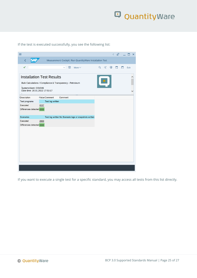

If the test is executed successfully, you see the following list:



If you want to execute a single test for a specific standard, you may access all tests from this list directly.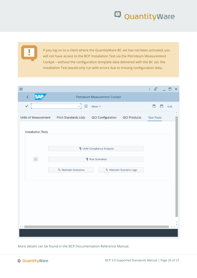If you log on to a client where the QuantityWare BC set has not been activated, you will not have access to the BCP Installation Test via the Petroleum Measurement Cockpit – without the configuration template data delivered with the BC set, the Installation Test would only run with errors due to missing configuration data.

| $\equiv$                              |                                     |                                  |                          | $\leftarrow$ $\mathbf{F}$ | $\mathsf{x}$                        |
|---------------------------------------|-------------------------------------|----------------------------------|--------------------------|---------------------------|-------------------------------------|
| <b>SAP</b><br>$\overline{\mathbf{C}}$ |                                     | Petroleum Measurement Cockpit    |                          |                           |                                     |
| $\checkmark$                          | $\triangleleft$<br>$\hfill \square$ | More $\vee$                      |                          | $\overline{c}$<br>$\Box$  | Exit                                |
| <b>Units of Measurement</b>           | <b>Print Standards Lists</b>        | <b>QCI Configuration</b>         | <b>QCI Products</b>      | <b>Test Tools</b>         | $\hat{\phantom{a}}$<br>$\checkmark$ |
| <b>Installation Tests</b>             |                                     |                                  |                          |                           |                                     |
|                                       |                                     | <b>1</b> UoM Compliance Analysis |                          |                           |                                     |
| $\boxed{\text{i}}$                    |                                     | 국 Run Scenarios                  |                          |                           |                                     |
|                                       | ९ Maintain Scenarios                |                                  | ९ Maintain Scenario Logs |                           |                                     |
|                                       |                                     |                                  |                          |                           |                                     |
|                                       |                                     |                                  |                          |                           |                                     |
|                                       |                                     |                                  |                          |                           |                                     |
|                                       |                                     |                                  |                          |                           |                                     |
| $\langle \rangle$                     |                                     |                                  |                          |                           | $\langle \rangle$                   |
|                                       |                                     |                                  |                          |                           |                                     |

More details can be found in the BCP Documentation Reference Manual.